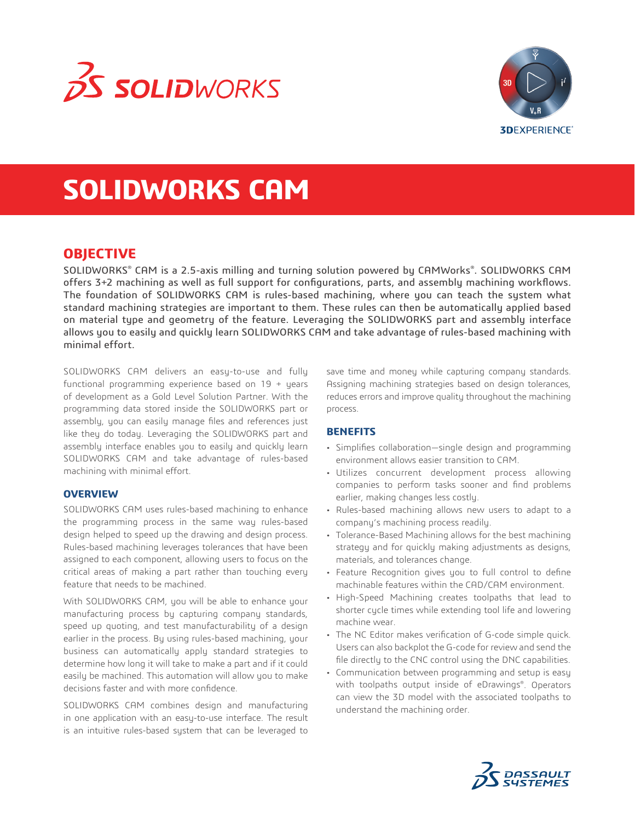



# **SOLIDWORKS CAM**

# **OBJECTIVE**

SOLIDWORKS® CAM is a 2.5-axis milling and turning solution powered by CAMWorks®. SOLIDWORKS CAM offers 3+2 machining as well as full support for configurations, parts, and assembly machining workflows. The foundation of SOLIDWORKS CAM is rules-based machining, where you can teach the system what standard machining strategies are important to them. These rules can then be automatically applied based on material type and geometry of the feature. Leveraging the SOLIDWORKS part and assembly interface allows you to easily and quickly learn SOLIDWORKS CAM and take advantage of rules-based machining with minimal effort.

SOLIDWORKS CAM delivers an easy-to-use and fully functional programming experience based on 19 + years of development as a Gold Level Solution Partner. With the programming data stored inside the SOLIDWORKS part or assembly, you can easily manage files and references just like they do today. Leveraging the SOLIDWORKS part and assembly interface enables you to easily and quickly learn SOLIDWORKS CAM and take advantage of rules-based machining with minimal effort.

#### **OVERVIEW**

SOLIDWORKS CAM uses rules-based machining to enhance the programming process in the same way rules-based design helped to speed up the drawing and design process. Rules-based machining leverages tolerances that have been assigned to each component, allowing users to focus on the critical areas of making a part rather than touching every feature that needs to be machined.

With SOLIDWORKS CAM, you will be able to enhance your manufacturing process by capturing company standards, speed up quoting, and test manufacturability of a design earlier in the process. By using rules-based machining, your business can automatically apply standard strategies to determine how long it will take to make a part and if it could easily be machined. This automation will allow you to make decisions faster and with more confidence.

SOLIDWORKS CAM combines design and manufacturing in one application with an easy-to-use interface. The result is an intuitive rules-based system that can be leveraged to

save time and money while capturing company standards. Assigning machining strategies based on design tolerances, reduces errors and improve quality throughout the machining process.

#### **BENEFITS**

- Simplifies collaboration—single design and programming environment allows easier transition to CAM.
- Utilizes concurrent development process allowing companies to perform tasks sooner and find problems earlier, making changes less costly.
- Rules-based machining allows new users to adapt to a company's machining process readily.
- Tolerance-Based Machining allows for the best machining strategy and for quickly making adjustments as designs, materials, and tolerances change.
- Feature Recognition gives you to full control to define machinable features within the CAD/CAM environment.
- High-Speed Machining creates toolpaths that lead to shorter cycle times while extending tool life and lowering machine wear.
- The NC Editor makes verification of G-code simple quick. Users can also backplot the G-code for review and send the file directly to the CNC control using the DNC capabilities.
- Communication between programming and setup is easy with toolpaths output inside of eDrawings®. Operators can view the 3D model with the associated toolpaths to understand the machining order.